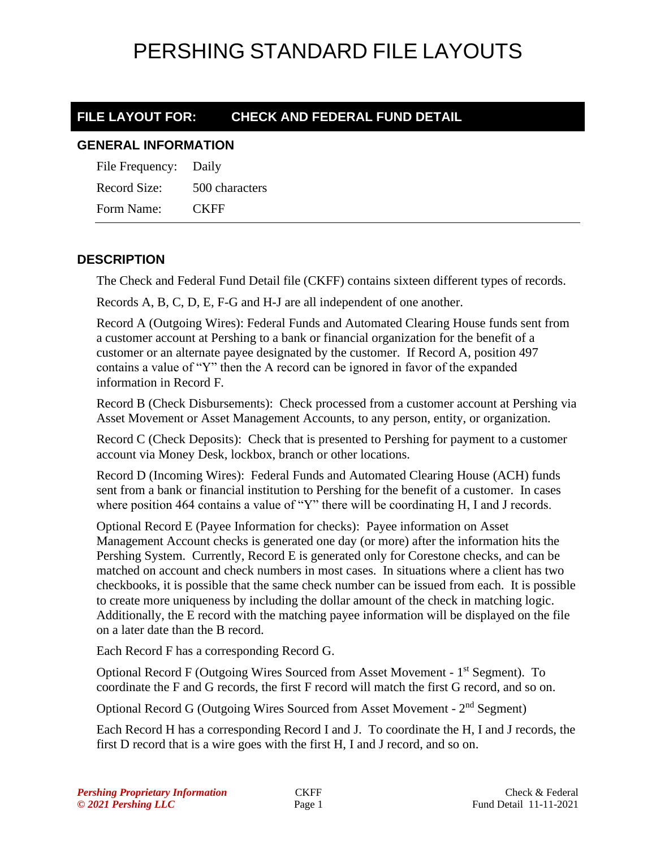### **FILE LAYOUT FOR: CHECK AND FEDERAL FUND DETAIL**

#### **GENERAL INFORMATION**

| File Frequency: Daily |                |
|-----------------------|----------------|
| Record Size:          | 500 characters |
| Form Name:            | <b>CKFF</b>    |

### **DESCRIPTION**

The Check and Federal Fund Detail file (CKFF) contains sixteen different types of records.

Records A, B, C, D, E, F-G and H-J are all independent of one another.

Record A (Outgoing Wires): Federal Funds and Automated Clearing House funds sent from a customer account at Pershing to a bank or financial organization for the benefit of a customer or an alternate payee designated by the customer. If Record A, position 497 contains a value of "Y" then the A record can be ignored in favor of the expanded information in Record F.

Record B (Check Disbursements): Check processed from a customer account at Pershing via Asset Movement or Asset Management Accounts, to any person, entity, or organization.

Record C (Check Deposits): Check that is presented to Pershing for payment to a customer account via Money Desk, lockbox, branch or other locations.

Record D (Incoming Wires): Federal Funds and Automated Clearing House (ACH) funds sent from a bank or financial institution to Pershing for the benefit of a customer. In cases where position 464 contains a value of "Y" there will be coordinating H, I and J records.

Optional Record E (Payee Information for checks): Payee information on Asset Management Account checks is generated one day (or more) after the information hits the Pershing System. Currently, Record E is generated only for Corestone checks, and can be matched on account and check numbers in most cases. In situations where a client has two checkbooks, it is possible that the same check number can be issued from each. It is possible to create more uniqueness by including the dollar amount of the check in matching logic. Additionally, the E record with the matching payee information will be displayed on the file on a later date than the B record.

Each Record F has a corresponding Record G.

Optional Record F (Outgoing Wires Sourced from Asset Movement - 1<sup>st</sup> Segment). To coordinate the F and G records, the first F record will match the first G record, and so on.

Optional Record G (Outgoing Wires Sourced from Asset Movement - 2<sup>nd</sup> Segment)

Each Record H has a corresponding Record I and J. To coordinate the H, I and J records, the first D record that is a wire goes with the first H, I and J record, and so on.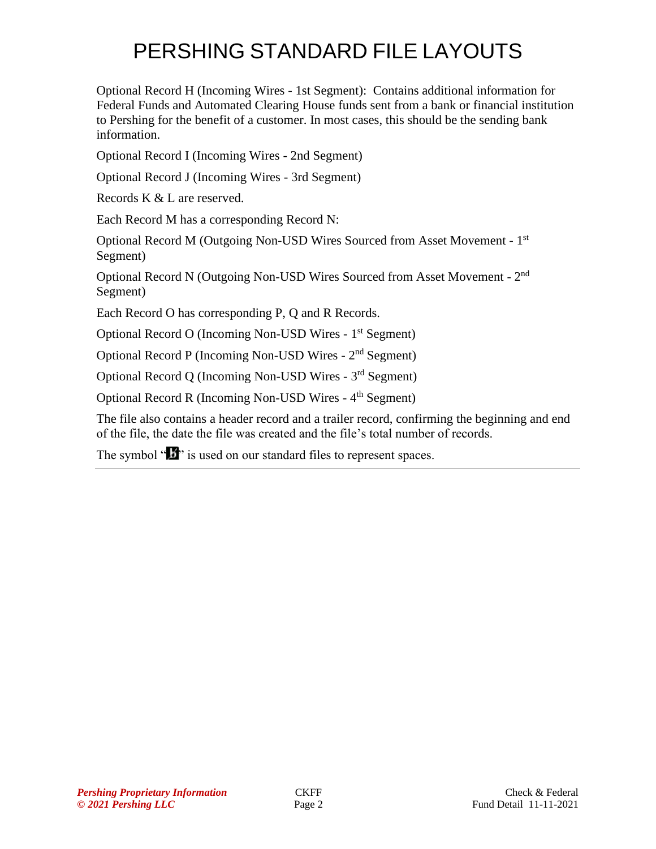Optional Record H (Incoming Wires - 1st Segment): Contains additional information for Federal Funds and Automated Clearing House funds sent from a bank or financial institution to Pershing for the benefit of a customer. In most cases, this should be the sending bank information.

Optional Record I (Incoming Wires - 2nd Segment)

Optional Record J (Incoming Wires - 3rd Segment)

Records K & L are reserved.

Each Record M has a corresponding Record N:

Optional Record M (Outgoing Non-USD Wires Sourced from Asset Movement - 1<sup>st</sup> Segment)

Optional Record N (Outgoing Non-USD Wires Sourced from Asset Movement - 2<sup>nd</sup> Segment)

Each Record O has corresponding P, Q and R Records.

Optional Record O (Incoming Non-USD Wires - 1<sup>st</sup> Segment)

Optional Record P (Incoming Non-USD Wires - 2<sup>nd</sup> Segment)

Optional Record Q (Incoming Non-USD Wires - 3rd Segment)

Optional Record R (Incoming Non-USD Wires - 4<sup>th</sup> Segment)

The file also contains a header record and a trailer record, confirming the beginning and end of the file, the date the file was created and the file's total number of records.

The symbol " $\mathbf{B}$ " is used on our standard files to represent spaces.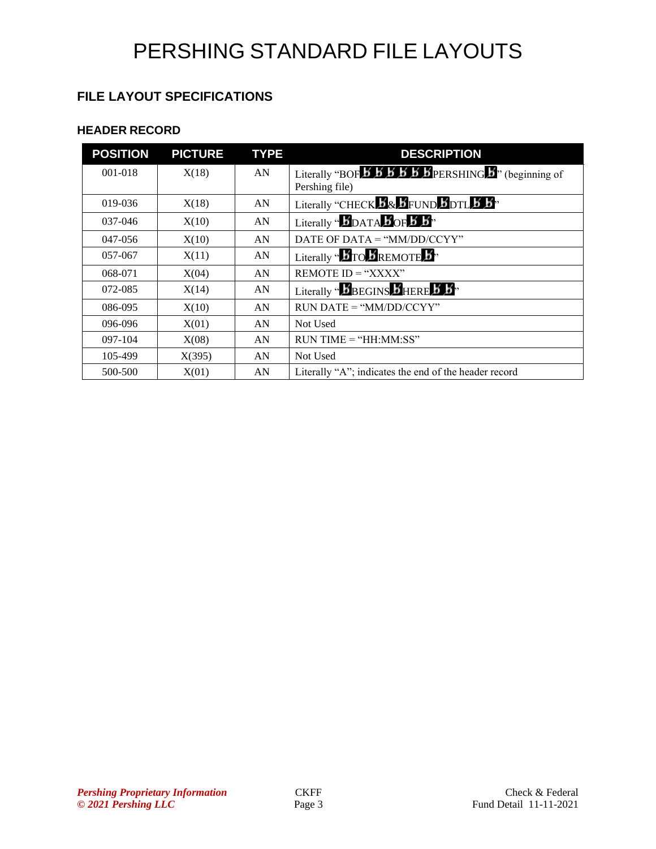### **FILE LAYOUT SPECIFICATIONS**

### **HEADER RECORD**

| <b>POSITION</b> | <b>PICTURE</b> | <b>TYPE</b> | <b>DESCRIPTION</b>                                                                                                                                              |
|-----------------|----------------|-------------|-----------------------------------------------------------------------------------------------------------------------------------------------------------------|
| $001 - 018$     | X(18)          | AN          | Literally "BOF $\overline{5}$ $\overline{5}$ $\overline{5}$ $\overline{5}$ $\overline{5}$ $\overline{5}$ $\overline{5}$ PERSHING $\overline{5}$ " (beginning of |
|                 |                |             | Pershing file)                                                                                                                                                  |
| 019-036         | X(18)          | AN          | Literally "CHECK <b>B</b> & BFUND BDTL 5 3"                                                                                                                     |
| 037-046         | X(10)          | AN          | Literally " $\mathbf{J}_{\text{DATA}}$ $\mathbf{J}_{\text{OF}}$ $\mathbf{J}_{\text{B}}$ "                                                                       |
| 047-056         | X(10)          | AN          | DATE OF DATA = " $MM/DD/CCYY"$                                                                                                                                  |
| 057-067         | X(11)          | AN          | Literally " $\bm{B}$ TO $\bm{B}$ REMOTE $\bm{B}$ "                                                                                                              |
| 068-071         | X(04)          | AN          | REMOTE $ID = "XXX"$                                                                                                                                             |
| 072-085         | X(14)          | AN          | Literally " $\boldsymbol{b}$ BEGINS $\boldsymbol{b}$ HERE $\boldsymbol{b}$ $\boldsymbol{b}$ "                                                                   |
| 086-095         | X(10)          | AN          | $RUN\ DATE = "MM/DD/CCYY"$                                                                                                                                      |
| 096-096         | X(01)          | AN          | Not Used                                                                                                                                                        |
| 097-104         | X(08)          | AN          | $RUN TIME = "HH:MM:SS"$                                                                                                                                         |
| 105-499         | X(395)         | AN          | Not Used                                                                                                                                                        |
| 500-500         | X(01)          | AN          | Literally "A"; indicates the end of the header record                                                                                                           |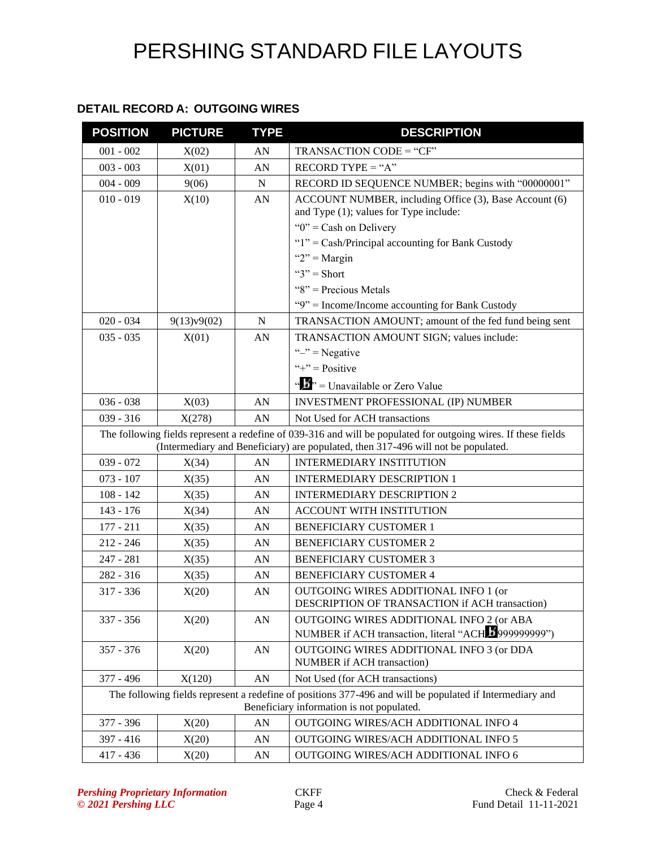### **DETAIL RECORD A: OUTGOING WIRES**

| <b>POSITION</b> | <b>PICTURE</b> | <b>TYPE</b> | <b>DESCRIPTION</b>                                                                                                                                                                                  |  |
|-----------------|----------------|-------------|-----------------------------------------------------------------------------------------------------------------------------------------------------------------------------------------------------|--|
| $001 - 002$     | X(02)          | AN          | TRANSACTION CODE = "CF"                                                                                                                                                                             |  |
| $003 - 003$     | X(01)          | AN          | $RECORD TYPE = "A"$                                                                                                                                                                                 |  |
| $004 - 009$     | 9(06)          | $\mathbf N$ | RECORD ID SEQUENCE NUMBER; begins with "00000001"                                                                                                                                                   |  |
| $010 - 019$     | X(10)          | AN          | ACCOUNT NUMBER, including Office (3), Base Account (6)<br>and Type (1); values for Type include:                                                                                                    |  |
|                 |                |             | " $0$ " = Cash on Delivery                                                                                                                                                                          |  |
|                 |                |             | " $1$ " = Cash/Principal accounting for Bank Custody                                                                                                                                                |  |
|                 |                |             | " $2"$ = Margin                                                                                                                                                                                     |  |
|                 |                |             | " $3"$ = Short                                                                                                                                                                                      |  |
|                 |                |             | " $8$ " = Precious Metals                                                                                                                                                                           |  |
|                 |                |             | "9" = Income/Income accounting for Bank Custody                                                                                                                                                     |  |
| $020 - 034$     | 9(13)v9(02)    | $\mathbf N$ | TRANSACTION AMOUNT; amount of the fed fund being sent                                                                                                                                               |  |
| $035 - 035$     | X(01)          | AN          | TRANSACTION AMOUNT SIGN; values include:                                                                                                                                                            |  |
|                 |                |             | " $-$ " = Negative                                                                                                                                                                                  |  |
|                 |                |             | "+" = $Positive$                                                                                                                                                                                    |  |
|                 |                |             | " $\cdots$ "" = Unavailable or Zero Value                                                                                                                                                           |  |
| $036 - 038$     | X(03)          | AN          | INVESTMENT PROFESSIONAL (IP) NUMBER                                                                                                                                                                 |  |
| $039 - 316$     | X(278)         | AN          | Not Used for ACH transactions                                                                                                                                                                       |  |
|                 |                |             | The following fields represent a redefine of 039-316 and will be populated for outgoing wires. If these fields<br>(Intermediary and Beneficiary) are populated, then 317-496 will not be populated. |  |
| $039 - 072$     | X(34)          | AN          | <b>INTERMEDIARY INSTITUTION</b>                                                                                                                                                                     |  |
| $073 - 107$     | X(35)          | AN          | <b>INTERMEDIARY DESCRIPTION 1</b>                                                                                                                                                                   |  |
| $108 - 142$     | X(35)          | AN          | <b>INTERMEDIARY DESCRIPTION 2</b>                                                                                                                                                                   |  |
| 143 - 176       | X(34)          | AN          | ACCOUNT WITH INSTITUTION                                                                                                                                                                            |  |
| $177 - 211$     | X(35)          | AN          | <b>BENEFICIARY CUSTOMER 1</b>                                                                                                                                                                       |  |
| $212 - 246$     | X(35)          | AN          | <b>BENEFICIARY CUSTOMER 2</b>                                                                                                                                                                       |  |
| $247 - 281$     | X(35)          | AN          | <b>BENEFICIARY CUSTOMER 3</b>                                                                                                                                                                       |  |
| 282 - 316       | X(35)          | AN          | <b>BENEFICIARY CUSTOMER 4</b>                                                                                                                                                                       |  |
| 317 - 336       | X(20)          | AN          | OUTGOING WIRES ADDITIONAL INFO 1 (or<br><b>DESCRIPTION OF TRANSACTION if ACH transaction</b> )                                                                                                      |  |
| 337 - 356       | X(20)          | AN          | OUTGOING WIRES ADDITIONAL INFO 2 (or ABA                                                                                                                                                            |  |
|                 |                |             | NUMBER if ACH transaction, literal "ACH 29999999999")                                                                                                                                               |  |
| $357 - 376$     | X(20)          | AN          | OUTGOING WIRES ADDITIONAL INFO 3 (or DDA<br>NUMBER if ACH transaction)                                                                                                                              |  |
| 377 - 496       | X(120)         | AN          | Not Used (for ACH transactions)                                                                                                                                                                     |  |
|                 |                |             | The following fields represent a redefine of positions 377-496 and will be populated if Intermediary and<br>Beneficiary information is not populated.                                               |  |
| 377 - 396       | X(20)          | AN          | OUTGOING WIRES/ACH ADDITIONAL INFO 4                                                                                                                                                                |  |
| $397 - 416$     | X(20)          | AN          | OUTGOING WIRES/ACH ADDITIONAL INFO 5                                                                                                                                                                |  |
| $417 - 436$     | X(20)          | AN          | OUTGOING WIRES/ACH ADDITIONAL INFO 6                                                                                                                                                                |  |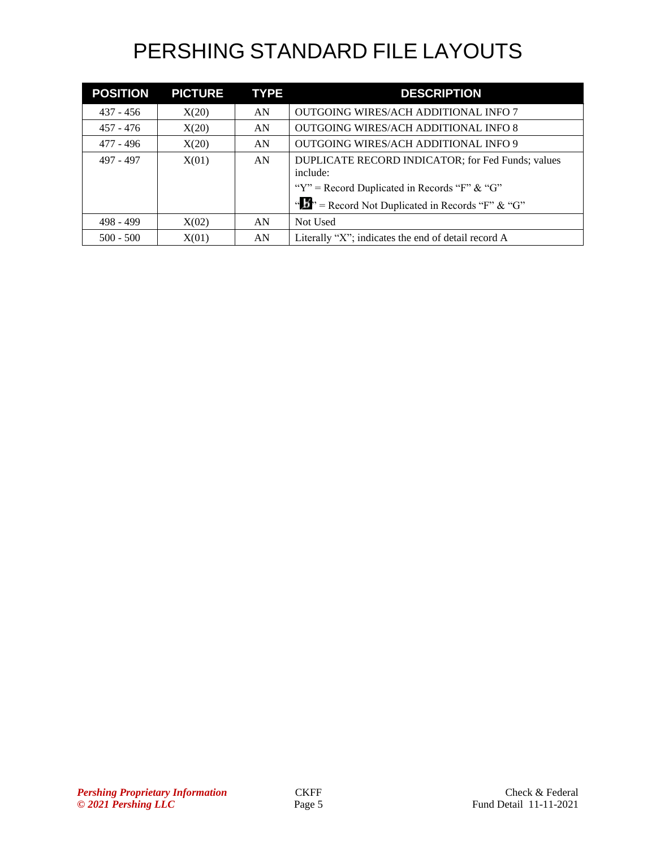| <b>POSITION</b> | <b>PICTURE</b> | <b>TYPE</b> | <b>DESCRIPTION</b>                                            |  |
|-----------------|----------------|-------------|---------------------------------------------------------------|--|
| $437 - 456$     | X(20)          | AN          | OUTGOING WIRES/ACH ADDITIONAL INFO 7                          |  |
| $457 - 476$     | X(20)          | AN          | <b>OUTGOING WIRES/ACH ADDITIONAL INFO 8</b>                   |  |
| 477 - 496       | X(20)          | AN          | OUTGOING WIRES/ACH ADDITIONAL INFO 9                          |  |
| 497 - 497       | X(01)          | AN          | DUPLICATE RECORD INDICATOR; for Fed Funds; values<br>include: |  |
|                 |                |             | "Y" = Record Duplicated in Records "F" & "G"                  |  |
|                 |                |             | " $\mathbf{B}$ " = Record Not Duplicated in Records "F" & "G" |  |
| $498 - 499$     | X(02)          | AN          | Not Used                                                      |  |
| $500 - 500$     | X(01)          | AN          | Literally "X"; indicates the end of detail record A           |  |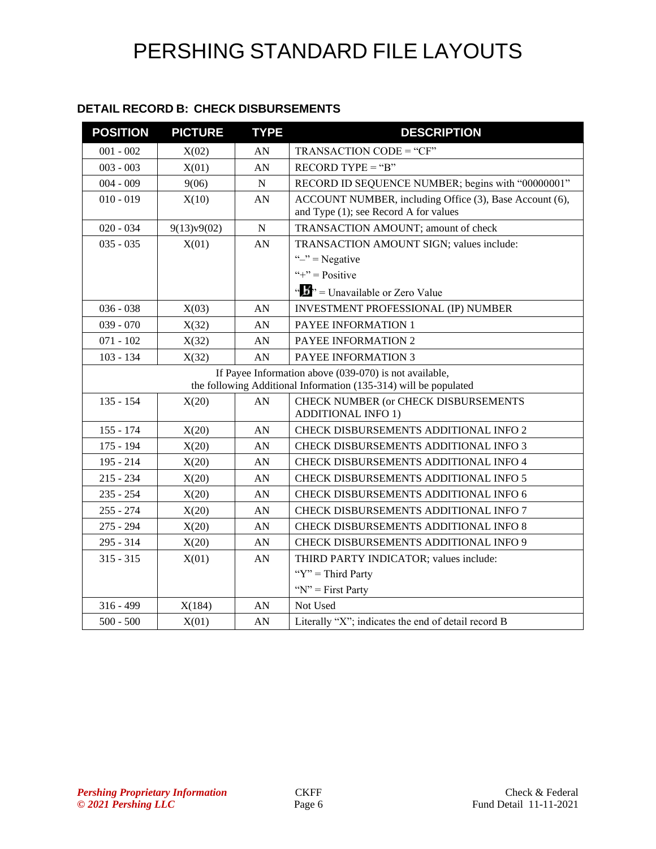### **DETAIL RECORD B: CHECK DISBURSEMENTS**

| <b>POSITION</b> | <b>PICTURE</b>                                                                                                             | <b>TYPE</b> | <b>DESCRIPTION</b>                                      |  |
|-----------------|----------------------------------------------------------------------------------------------------------------------------|-------------|---------------------------------------------------------|--|
| $001 - 002$     | X(02)                                                                                                                      | AN          | TRANSACTION CODE = "CF"                                 |  |
| $003 - 003$     | X(01)                                                                                                                      | AN          | $RECORD TYPE = "B"$                                     |  |
| $004 - 009$     | 9(06)                                                                                                                      | N           | RECORD ID SEQUENCE NUMBER; begins with "00000001"       |  |
| $010 - 019$     | X(10)                                                                                                                      | AN          | ACCOUNT NUMBER, including Office (3), Base Account (6), |  |
|                 |                                                                                                                            |             | and Type (1); see Record A for values                   |  |
| $020 - 034$     | 9(13)v9(02)                                                                                                                | ${\bf N}$   | TRANSACTION AMOUNT; amount of check                     |  |
| $035 - 035$     | X(01)                                                                                                                      | AN          | TRANSACTION AMOUNT SIGN; values include:                |  |
|                 |                                                                                                                            |             | " $-$ " = Negative                                      |  |
|                 |                                                                                                                            |             | "+" = $Positive$                                        |  |
|                 |                                                                                                                            |             | " $\frac{1}{2}$ " = Unavailable or Zero Value           |  |
| $036 - 038$     | X(03)                                                                                                                      | AN          | INVESTMENT PROFESSIONAL (IP) NUMBER                     |  |
| $039 - 070$     | X(32)                                                                                                                      | AN          | PAYEE INFORMATION 1                                     |  |
| $071 - 102$     | X(32)                                                                                                                      | AN          | PAYEE INFORMATION 2                                     |  |
| $103 - 134$     | X(32)                                                                                                                      | AN          | PAYEE INFORMATION 3                                     |  |
|                 | If Payee Information above (039-070) is not available,<br>the following Additional Information (135-314) will be populated |             |                                                         |  |
| $135 - 154$     |                                                                                                                            | AN          | CHECK NUMBER (or CHECK DISBURSEMENTS                    |  |
|                 | X(20)                                                                                                                      |             | <b>ADDITIONAL INFO 1)</b>                               |  |
| $155 - 174$     | X(20)                                                                                                                      | AN          | CHECK DISBURSEMENTS ADDITIONAL INFO 2                   |  |
| $175 - 194$     | X(20)                                                                                                                      | AN          | CHECK DISBURSEMENTS ADDITIONAL INFO 3                   |  |
| $195 - 214$     | X(20)                                                                                                                      | AN          | CHECK DISBURSEMENTS ADDITIONAL INFO 4                   |  |
| $215 - 234$     | X(20)                                                                                                                      | AN          | CHECK DISBURSEMENTS ADDITIONAL INFO 5                   |  |
| $235 - 254$     | X(20)                                                                                                                      | AN          | CHECK DISBURSEMENTS ADDITIONAL INFO 6                   |  |
| $255 - 274$     | X(20)                                                                                                                      | AN          | CHECK DISBURSEMENTS ADDITIONAL INFO 7                   |  |
| $275 - 294$     | X(20)                                                                                                                      | AN          | CHECK DISBURSEMENTS ADDITIONAL INFO 8                   |  |
| $295 - 314$     | X(20)                                                                                                                      | AN          | <b>CHECK DISBURSEMENTS ADDITIONAL INFO 9</b>            |  |
| $315 - 315$     | X(01)                                                                                                                      | AN          | THIRD PARTY INDICATOR; values include:                  |  |
|                 |                                                                                                                            |             | " $Y$ " = Third Party                                   |  |
|                 |                                                                                                                            |             | " $N$ " = First Party                                   |  |
| $316 - 499$     | X(184)                                                                                                                     | AN          | Not Used                                                |  |
| $500 - 500$     | X(01)                                                                                                                      | AN          | Literally "X"; indicates the end of detail record B     |  |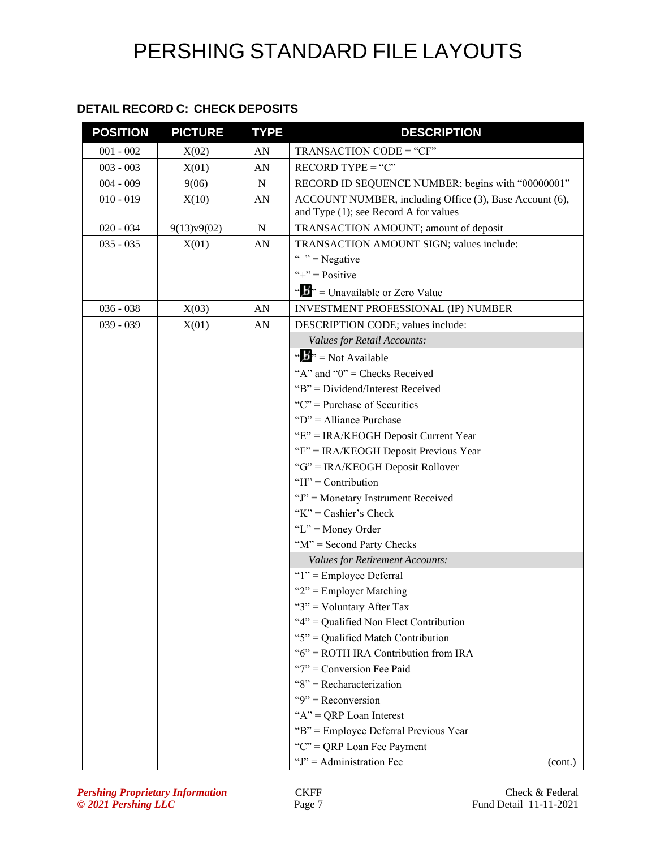### **DETAIL RECORD C: CHECK DEPOSITS**

| <b>POSITION</b> | <b>PICTURE</b> | <b>TYPE</b> | <b>DESCRIPTION</b>                                                                               |  |
|-----------------|----------------|-------------|--------------------------------------------------------------------------------------------------|--|
| $001 - 002$     | X(02)          | AN          | TRANSACTION CODE = "CF"                                                                          |  |
| $003 - 003$     | X(01)          | AN          | $RECORD$ TYPE = " $C$ "                                                                          |  |
| $004 - 009$     | 9(06)          | ${\bf N}$   | RECORD ID SEQUENCE NUMBER; begins with "00000001"                                                |  |
| $010 - 019$     | X(10)          | AN          | ACCOUNT NUMBER, including Office (3), Base Account (6),<br>and Type (1); see Record A for values |  |
| $020 - 034$     | 9(13)v9(02)    | ${\bf N}$   | TRANSACTION AMOUNT; amount of deposit                                                            |  |
| $035 - 035$     | X(01)          | AN          | TRANSACTION AMOUNT SIGN; values include:                                                         |  |
|                 |                |             | " $-$ " = Negative                                                                               |  |
|                 |                |             | "+" = $Positive$                                                                                 |  |
|                 |                |             | " $\mathbf{F}$ " = Unavailable or Zero Value                                                     |  |
| $036 - 038$     | X(03)          | AN          | INVESTMENT PROFESSIONAL (IP) NUMBER                                                              |  |
| $039 - 039$     | X(01)          | AN          | DESCRIPTION CODE; values include:                                                                |  |
|                 |                |             | Values for Retail Accounts:                                                                      |  |
|                 |                |             | " $\mathbf{b}$ " = Not Available                                                                 |  |
|                 |                |             | "A" and " $0$ " = Checks Received                                                                |  |
|                 |                |             | "B" = Dividend/Interest Received                                                                 |  |
|                 |                |             | " $C$ " = Purchase of Securities                                                                 |  |
|                 |                |             | " $D$ " = Alliance Purchase                                                                      |  |
|                 |                |             | "E" = IRA/KEOGH Deposit Current Year                                                             |  |
|                 |                |             | "F" = IRA/KEOGH Deposit Previous Year                                                            |  |
|                 |                |             | "G" = IRA/KEOGH Deposit Rollover                                                                 |  |
|                 |                |             | " $H$ " = Contribution                                                                           |  |
|                 |                |             | "J" = Monetary Instrument Received                                                               |  |
|                 |                |             | "K" = Cashier's Check                                                                            |  |
|                 |                |             | " $L$ " = Money Order                                                                            |  |
|                 |                |             | "M" = Second Party Checks                                                                        |  |
|                 |                |             | <b>Values for Retirement Accounts:</b>                                                           |  |
|                 |                |             | "1" = Employee Deferral                                                                          |  |
|                 |                |             | " $2$ " = Employer Matching                                                                      |  |
|                 |                |             | " $3$ " = Voluntary After Tax                                                                    |  |
|                 |                |             | "4" = Qualified Non Elect Contribution                                                           |  |
|                 |                |             | "5" = Qualified Match Contribution                                                               |  |
|                 |                |             | "6" = ROTH IRA Contribution from IRA                                                             |  |
|                 |                |             | "7" = Conversion Fee Paid                                                                        |  |
|                 |                |             | " $8$ " = Recharacterization                                                                     |  |
|                 |                |             | " $9$ " = Reconversion                                                                           |  |
|                 |                |             | " $A$ " = QRP Loan Interest                                                                      |  |
|                 |                |             | "B" = Employee Deferral Previous Year                                                            |  |
|                 |                |             | "C" = QRP Loan Fee Payment                                                                       |  |
|                 |                |             | " $J$ " = Administration Fee<br>(cont.)                                                          |  |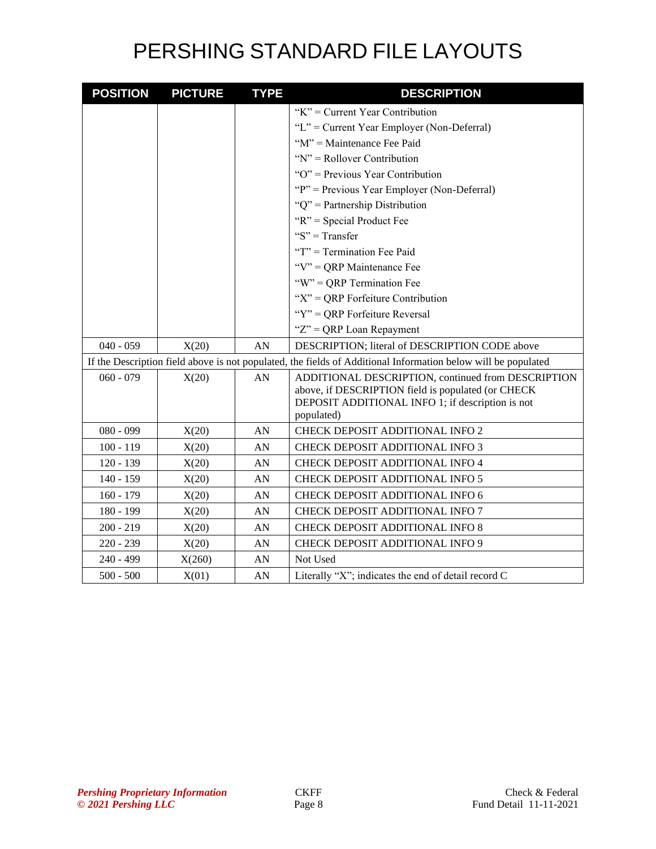| <b>POSITION</b> | <b>PICTURE</b> | <b>TYPE</b> | <b>DESCRIPTION</b>                                                                                                                                                         |  |
|-----------------|----------------|-------------|----------------------------------------------------------------------------------------------------------------------------------------------------------------------------|--|
|                 |                |             | " $K$ " = Current Year Contribution                                                                                                                                        |  |
|                 |                |             | "L" = Current Year Employer (Non-Deferral)                                                                                                                                 |  |
|                 |                |             | "M" = Maintenance Fee Paid                                                                                                                                                 |  |
|                 |                |             | " $N$ " = Rollover Contribution                                                                                                                                            |  |
|                 |                |             | "O" = Previous Year Contribution                                                                                                                                           |  |
|                 |                |             | "P" = Previous Year Employer (Non-Deferral)                                                                                                                                |  |
|                 |                |             | "Q" = Partnership Distribution                                                                                                                                             |  |
|                 |                |             | "R" = Special Product Fee                                                                                                                                                  |  |
|                 |                |             | "S" = Transfer                                                                                                                                                             |  |
|                 |                |             | "T" = Termination Fee Paid                                                                                                                                                 |  |
|                 |                |             | " $V$ " = QRP Maintenance Fee                                                                                                                                              |  |
|                 |                |             | "W" = QRP Termination Fee                                                                                                                                                  |  |
|                 |                |             | " $X$ " = QRP Forfeiture Contribution                                                                                                                                      |  |
|                 |                |             | "Y" = QRP Forfeiture Reversal                                                                                                                                              |  |
|                 |                |             | " $Z$ " = QRP Loan Repayment                                                                                                                                               |  |
| $040 - 059$     | X(20)          | AN          | DESCRIPTION; literal of DESCRIPTION CODE above                                                                                                                             |  |
|                 |                |             | If the Description field above is not populated, the fields of Additional Information below will be populated                                                              |  |
| $060 - 079$     | X(20)          | AN          | ADDITIONAL DESCRIPTION, continued from DESCRIPTION<br>above, if DESCRIPTION field is populated (or CHECK<br>DEPOSIT ADDITIONAL INFO 1; if description is not<br>populated) |  |
| $080 - 099$     | X(20)          | AN          | CHECK DEPOSIT ADDITIONAL INFO 2                                                                                                                                            |  |
| $100 - 119$     | X(20)          | AN          | CHECK DEPOSIT ADDITIONAL INFO 3                                                                                                                                            |  |
| $120 - 139$     | X(20)          | AN          | CHECK DEPOSIT ADDITIONAL INFO 4                                                                                                                                            |  |
| $140 - 159$     | X(20)          | AN          | CHECK DEPOSIT ADDITIONAL INFO 5                                                                                                                                            |  |
| $160 - 179$     | X(20)          | AN          | CHECK DEPOSIT ADDITIONAL INFO 6                                                                                                                                            |  |
| 180 - 199       | X(20)          | AN          | CHECK DEPOSIT ADDITIONAL INFO 7                                                                                                                                            |  |
| $200 - 219$     | X(20)          | AN          | CHECK DEPOSIT ADDITIONAL INFO 8                                                                                                                                            |  |
| $220 - 239$     | X(20)          | AN          | CHECK DEPOSIT ADDITIONAL INFO 9                                                                                                                                            |  |
| 240 - 499       | X(260)         | AN          | Not Used                                                                                                                                                                   |  |
| $500 - 500$     | X(01)          | AN          | Literally "X"; indicates the end of detail record C                                                                                                                        |  |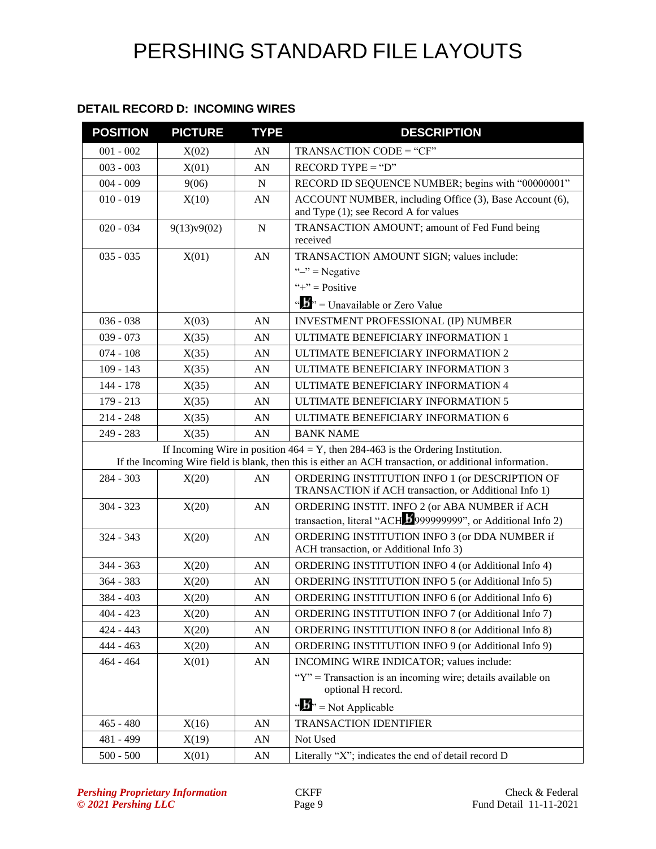### **DETAIL RECORD D: INCOMING WIRES**

| <b>POSITION</b> | <b>PICTURE</b> | <b>TYPE</b> | <b>DESCRIPTION</b>                                                                                                                                                                            |  |
|-----------------|----------------|-------------|-----------------------------------------------------------------------------------------------------------------------------------------------------------------------------------------------|--|
| $001 - 002$     | X(02)          | AN          | TRANSACTION CODE = "CF"                                                                                                                                                                       |  |
| $003 - 003$     | X(01)          | AN          | $RECORD$ TYPE = "D"                                                                                                                                                                           |  |
| $004 - 009$     | 9(06)          | $\mathbf N$ | RECORD ID SEQUENCE NUMBER; begins with "00000001"                                                                                                                                             |  |
| $010 - 019$     | X(10)          | AN          | ACCOUNT NUMBER, including Office (3), Base Account (6),<br>and Type (1); see Record A for values                                                                                              |  |
| $020 - 034$     | 9(13)v9(02)    | $\mathbf N$ | TRANSACTION AMOUNT; amount of Fed Fund being<br>received                                                                                                                                      |  |
| $035 - 035$     | X(01)          | AN          | TRANSACTION AMOUNT SIGN; values include:                                                                                                                                                      |  |
|                 |                |             | " $-$ " = Negative                                                                                                                                                                            |  |
|                 |                |             | "+" = $Positive$                                                                                                                                                                              |  |
|                 |                |             | " $\mathbf{J}$ " = Unavailable or Zero Value                                                                                                                                                  |  |
| $036 - 038$     | X(03)          | AN          | INVESTMENT PROFESSIONAL (IP) NUMBER                                                                                                                                                           |  |
| $039 - 073$     | X(35)          | AN          | ULTIMATE BENEFICIARY INFORMATION 1                                                                                                                                                            |  |
| $074 - 108$     | X(35)          | AN          | ULTIMATE BENEFICIARY INFORMATION 2                                                                                                                                                            |  |
| $109 - 143$     | X(35)          | AN          | ULTIMATE BENEFICIARY INFORMATION 3                                                                                                                                                            |  |
| 144 - 178       | X(35)          | AN          | ULTIMATE BENEFICIARY INFORMATION 4                                                                                                                                                            |  |
| $179 - 213$     | X(35)          | AN          | ULTIMATE BENEFICIARY INFORMATION 5                                                                                                                                                            |  |
| $214 - 248$     | X(35)          | AN          | ULTIMATE BENEFICIARY INFORMATION 6                                                                                                                                                            |  |
| 249 - 283       | X(35)          | AN          | <b>BANK NAME</b>                                                                                                                                                                              |  |
|                 |                |             | If Incoming Wire in position $464 = Y$ , then 284-463 is the Ordering Institution.<br>If the Incoming Wire field is blank, then this is either an ACH transaction, or additional information. |  |
| $284 - 303$     | X(20)          | AN          | ORDERING INSTITUTION INFO 1 (or DESCRIPTION OF<br>TRANSACTION if ACH transaction, or Additional Info 1)                                                                                       |  |
| $304 - 323$     | X(20)          | AN          | ORDERING INSTIT. INFO 2 (or ABA NUMBER if ACH                                                                                                                                                 |  |
|                 |                |             | transaction, literal "ACH 5999999999", or Additional Info 2)                                                                                                                                  |  |
| $324 - 343$     | X(20)          | AN          | ORDERING INSTITUTION INFO 3 (or DDA NUMBER if                                                                                                                                                 |  |
|                 |                |             | ACH transaction, or Additional Info 3)                                                                                                                                                        |  |
| $344 - 363$     | X(20)          | AN          | ORDERING INSTITUTION INFO 4 (or Additional Info 4)                                                                                                                                            |  |
| 364 - 383       | X(20)          | AN          | ORDERING INSTITUTION INFO 5 (or Additional Info 5)                                                                                                                                            |  |
| 384 - 403       | X(20)          | AN          | ORDERING INSTITUTION INFO 6 (or Additional Info 6)                                                                                                                                            |  |
| $404 - 423$     | X(20)          | AN          | ORDERING INSTITUTION INFO 7 (or Additional Info 7)                                                                                                                                            |  |
| $424 - 443$     | X(20)          | AN          | <b>ORDERING INSTITUTION INFO 8 (or Additional Info 8)</b>                                                                                                                                     |  |
| $444 - 463$     | X(20)          | AN          | ORDERING INSTITUTION INFO 9 (or Additional Info 9)                                                                                                                                            |  |
| $464 - 464$     | X(01)          | AN          | INCOMING WIRE INDICATOR; values include:                                                                                                                                                      |  |
|                 |                |             | " $Y$ " = Transaction is an incoming wire; details available on<br>optional H record.                                                                                                         |  |
|                 |                |             | " $\mathbf{N}$ " = Not Applicable                                                                                                                                                             |  |
| $465 - 480$     | X(16)          | AN          | <b>TRANSACTION IDENTIFIER</b>                                                                                                                                                                 |  |
| 481 - 499       | X(19)          | AN          | Not Used                                                                                                                                                                                      |  |
| $500 - 500$     | X(01)          | AN          | Literally "X"; indicates the end of detail record D                                                                                                                                           |  |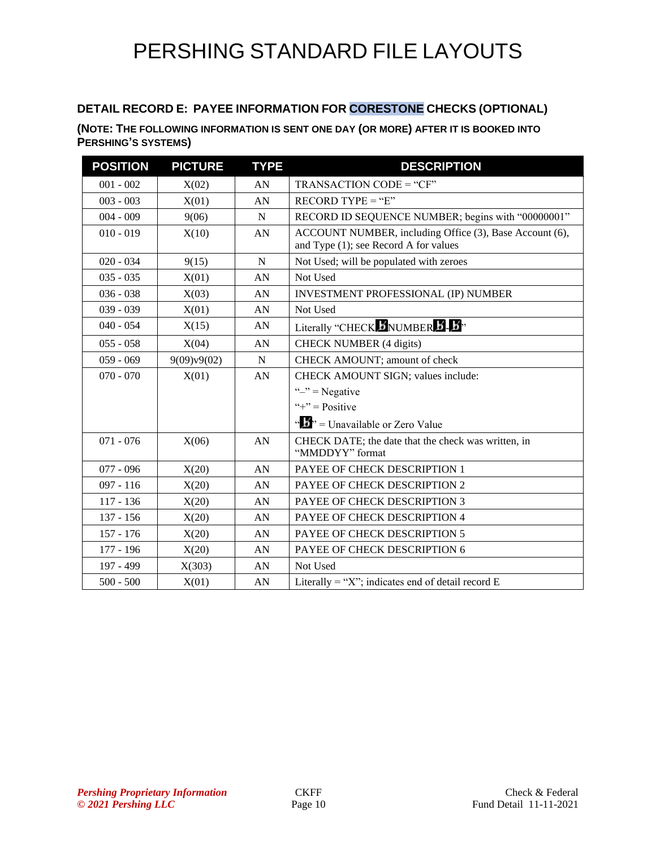### **DETAIL RECORD E: PAYEE INFORMATION FOR CORESTONE CHECKS (OPTIONAL)**

### **(NOTE: THE FOLLOWING INFORMATION IS SENT ONE DAY (OR MORE) AFTER IT IS BOOKED INTO PERSHING'S SYSTEMS)**

| <b>POSITION</b> | <b>PICTURE</b> | <b>TYPE</b> | <b>DESCRIPTION</b>                                                                               |  |
|-----------------|----------------|-------------|--------------------------------------------------------------------------------------------------|--|
| $001 - 002$     | X(02)          | AN          | TRANSACTION CODE = "CF"                                                                          |  |
| $003 - 003$     | X(01)          | AN          | $RECORD TYPE = "E"$                                                                              |  |
| $004 - 009$     | 9(06)          | $\mathbf N$ | RECORD ID SEQUENCE NUMBER; begins with "00000001"                                                |  |
| $010 - 019$     | X(10)          | AN          | ACCOUNT NUMBER, including Office (3), Base Account (6),<br>and Type (1); see Record A for values |  |
| $020 - 034$     | 9(15)          | N           | Not Used; will be populated with zeroes                                                          |  |
| $035 - 035$     | X(01)          | AN          | Not Used                                                                                         |  |
| $036 - 038$     | X(03)          | AN          | <b>INVESTMENT PROFESSIONAL (IP) NUMBER</b>                                                       |  |
| $039 - 039$     | X(01)          | AN          | Not Used                                                                                         |  |
| $040 - 054$     | X(15)          | AN          | Literally "CHECK MUMBER B.                                                                       |  |
| $055 - 058$     | X(04)          | AN          | <b>CHECK NUMBER (4 digits)</b>                                                                   |  |
| $059 - 069$     | 9(09)v9(02)    | N           | CHECK AMOUNT; amount of check                                                                    |  |
| $070 - 070$     | X(01)          | AN          | CHECK AMOUNT SIGN; values include:                                                               |  |
|                 |                |             | " $-$ " = Negative                                                                               |  |
|                 |                |             | "+" = $Positive$                                                                                 |  |
|                 |                |             | ", $\frac{1}{2}$ " = Unavailable or Zero Value                                                   |  |
| $071 - 076$     | X(06)          | AN          | CHECK DATE; the date that the check was written, in<br>"MMDDYY" format                           |  |
| $077 - 096$     | X(20)          | AN          | PAYEE OF CHECK DESCRIPTION 1                                                                     |  |
| $097 - 116$     | X(20)          | AN          | PAYEE OF CHECK DESCRIPTION 2                                                                     |  |
| $117 - 136$     | X(20)          | AN          | PAYEE OF CHECK DESCRIPTION 3                                                                     |  |
| $137 - 156$     | X(20)          | AN          | PAYEE OF CHECK DESCRIPTION 4                                                                     |  |
| $157 - 176$     | X(20)          | AN          | PAYEE OF CHECK DESCRIPTION 5                                                                     |  |
| $177 - 196$     | X(20)          | AN          | PAYEE OF CHECK DESCRIPTION 6                                                                     |  |
| 197 - 499       | X(303)         | AN          | Not Used                                                                                         |  |
| $500 - 500$     | X(01)          | AN          | Literally = "X"; indicates end of detail record $E$                                              |  |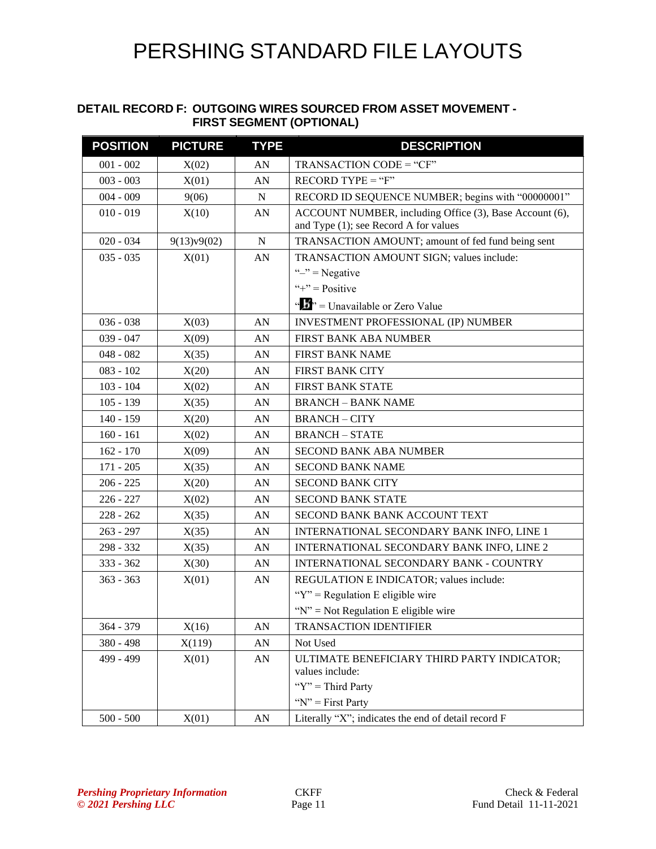#### **DETAIL RECORD F: OUTGOING WIRES SOURCED FROM ASSET MOVEMENT - FIRST SEGMENT (OPTIONAL)**

| <b>POSITION</b> | <b>PICTURE</b> | <b>TYPE</b> | <b>DESCRIPTION</b>                                                                               |  |
|-----------------|----------------|-------------|--------------------------------------------------------------------------------------------------|--|
| $001 - 002$     | X(02)          | AN          | TRANSACTION CODE = "CF"                                                                          |  |
| $003 - 003$     | X(01)          | AN          | $RECORD TYPE = "F"$                                                                              |  |
| $004 - 009$     | 9(06)          | ${\bf N}$   | RECORD ID SEQUENCE NUMBER; begins with "00000001"                                                |  |
| $010 - 019$     | X(10)          | AN          | ACCOUNT NUMBER, including Office (3), Base Account (6),<br>and Type (1); see Record A for values |  |
| $020 - 034$     | 9(13)v9(02)    | ${\bf N}$   | TRANSACTION AMOUNT; amount of fed fund being sent                                                |  |
| $035 - 035$     | X(01)          | AN          | TRANSACTION AMOUNT SIGN; values include:                                                         |  |
|                 |                |             | " $-$ " = Negative                                                                               |  |
|                 |                |             | "+" = $Positive$                                                                                 |  |
|                 |                |             | $\cdots$ $\cdots$ $\cdots$ Unavailable or Zero Value                                             |  |
| $036 - 038$     | X(03)          | AN          | <b>INVESTMENT PROFESSIONAL (IP) NUMBER</b>                                                       |  |
| $039 - 047$     | X(09)          | AN          | <b>FIRST BANK ABA NUMBER</b>                                                                     |  |
| $048 - 082$     | X(35)          | AN          | <b>FIRST BANK NAME</b>                                                                           |  |
| $083 - 102$     | X(20)          | AN          | FIRST BANK CITY                                                                                  |  |
| $103 - 104$     | X(02)          | AN          | <b>FIRST BANK STATE</b>                                                                          |  |
| $105 - 139$     | X(35)          | AN          | <b>BRANCH - BANK NAME</b>                                                                        |  |
| $140 - 159$     | X(20)          | AN          | <b>BRANCH-CITY</b>                                                                               |  |
| $160 - 161$     | X(02)          | AN          | <b>BRANCH-STATE</b>                                                                              |  |
| $162 - 170$     | X(09)          | AN          | <b>SECOND BANK ABA NUMBER</b>                                                                    |  |
| $171 - 205$     | X(35)          | AN          | <b>SECOND BANK NAME</b>                                                                          |  |
| $206 - 225$     | X(20)          | AN          | <b>SECOND BANK CITY</b>                                                                          |  |
| $226 - 227$     | X(02)          | AN          | SECOND BANK STATE                                                                                |  |
| $228 - 262$     | X(35)          | AN          | SECOND BANK BANK ACCOUNT TEXT                                                                    |  |
| $263 - 297$     | X(35)          | AN          | INTERNATIONAL SECONDARY BANK INFO, LINE 1                                                        |  |
| 298 - 332       | X(35)          | AN          | INTERNATIONAL SECONDARY BANK INFO, LINE 2                                                        |  |
| $333 - 362$     | X(30)          | AN          | INTERNATIONAL SECONDARY BANK - COUNTRY                                                           |  |
| $363 - 363$     | X(01)          | AN          | REGULATION E INDICATOR; values include:                                                          |  |
|                 |                |             | " $Y$ " = Regulation E eligible wire                                                             |  |
|                 |                |             | " $N$ " = Not Regulation E eligible wire                                                         |  |
| 364 - 379       | X(16)          | AN          | <b>TRANSACTION IDENTIFIER</b>                                                                    |  |
| 380 - 498       | X(119)         | AN          | Not Used                                                                                         |  |
| 499 - 499       | X(01)          | AN          | ULTIMATE BENEFICIARY THIRD PARTY INDICATOR;<br>values include:                                   |  |
|                 |                |             | " $Y$ " = Third Party                                                                            |  |
|                 |                |             | " $N$ " = First Party                                                                            |  |
| $500 - 500$     | X(01)          | ${\rm AN}$  | Literally "X"; indicates the end of detail record F                                              |  |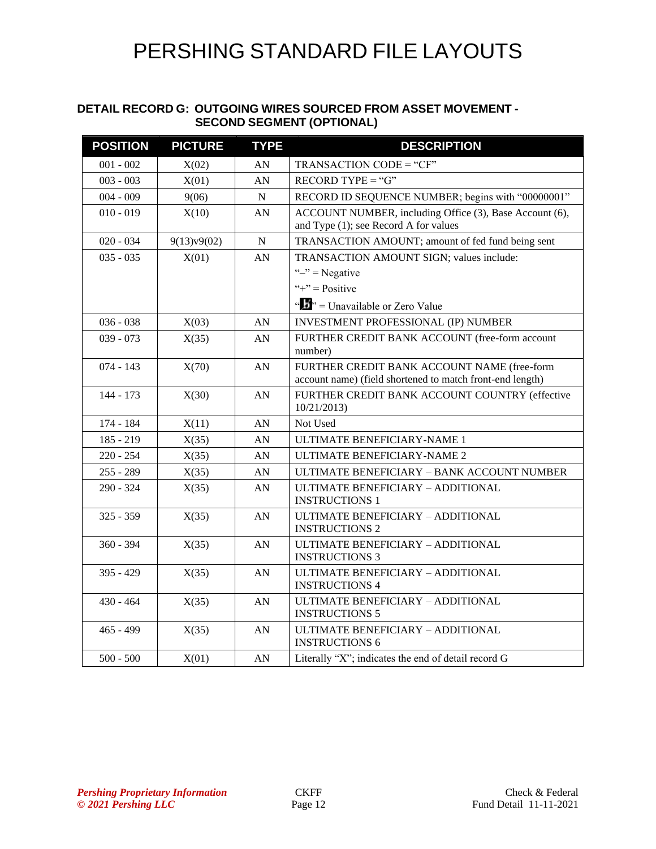#### **DETAIL RECORD G: OUTGOING WIRES SOURCED FROM ASSET MOVEMENT - SECOND SEGMENT (OPTIONAL)**

| <b>POSITION</b> | <b>PICTURE</b> | <b>TYPE</b>      | <b>DESCRIPTION</b>                                                                                       |  |
|-----------------|----------------|------------------|----------------------------------------------------------------------------------------------------------|--|
| $001 - 002$     | X(02)          | AN               | TRANSACTION CODE = "CF"                                                                                  |  |
| $003 - 003$     | X(01)          | AN               | $RECORD$ TYPE = " $G$ "                                                                                  |  |
| $004 - 009$     | 9(06)          | ${\bf N}$        | RECORD ID SEQUENCE NUMBER; begins with "00000001"                                                        |  |
| $010 - 019$     | X(10)          | AN               | ACCOUNT NUMBER, including Office (3), Base Account (6),<br>and Type (1); see Record A for values         |  |
| $020 - 034$     | 9(13)v9(02)    | ${\bf N}$        | TRANSACTION AMOUNT; amount of fed fund being sent                                                        |  |
| $035 - 035$     | X(01)          | AN               | TRANSACTION AMOUNT SIGN; values include:                                                                 |  |
|                 |                |                  | " $-$ " = Negative                                                                                       |  |
|                 |                |                  | "+" = $Positive$                                                                                         |  |
|                 |                |                  | " $\mathbf{J}$ " = Unavailable or Zero Value                                                             |  |
| $036 - 038$     | X(03)          | AN               | <b>INVESTMENT PROFESSIONAL (IP) NUMBER</b>                                                               |  |
| $039 - 073$     | X(35)          | AN               | FURTHER CREDIT BANK ACCOUNT (free-form account<br>number)                                                |  |
| $074 - 143$     | X(70)          | AN               | FURTHER CREDIT BANK ACCOUNT NAME (free-form<br>account name) (field shortened to match front-end length) |  |
| $144 - 173$     | X(30)          | AN               | FURTHER CREDIT BANK ACCOUNT COUNTRY (effective<br>10/21/2013                                             |  |
| 174 - 184       | X(11)          | AN               | Not Used                                                                                                 |  |
| $185 - 219$     | X(35)          | AN               | <b>ULTIMATE BENEFICIARY-NAME 1</b>                                                                       |  |
| $220 - 254$     | X(35)          | AN               | ULTIMATE BENEFICIARY-NAME 2                                                                              |  |
| $255 - 289$     | X(35)          | AN               | ULTIMATE BENEFICIARY - BANK ACCOUNT NUMBER                                                               |  |
| $290 - 324$     | X(35)          | AN               | ULTIMATE BENEFICIARY - ADDITIONAL<br><b>INSTRUCTIONS 1</b>                                               |  |
| $325 - 359$     | X(35)          | AN               | ULTIMATE BENEFICIARY - ADDITIONAL<br><b>INSTRUCTIONS 2</b>                                               |  |
| $360 - 394$     | X(35)          | AN               | ULTIMATE BENEFICIARY - ADDITIONAL<br><b>INSTRUCTIONS 3</b>                                               |  |
| $395 - 429$     | X(35)          | AN               | ULTIMATE BENEFICIARY - ADDITIONAL<br><b>INSTRUCTIONS 4</b>                                               |  |
| $430 - 464$     | X(35)          | AN               | ULTIMATE BENEFICIARY - ADDITIONAL<br><b>INSTRUCTIONS 5</b>                                               |  |
| $465 - 499$     | X(35)          | AN               | ULTIMATE BENEFICIARY - ADDITIONAL<br><b>INSTRUCTIONS 6</b>                                               |  |
| $500 - 500$     | X(01)          | ${\bf A}{\bf N}$ | Literally "X"; indicates the end of detail record G                                                      |  |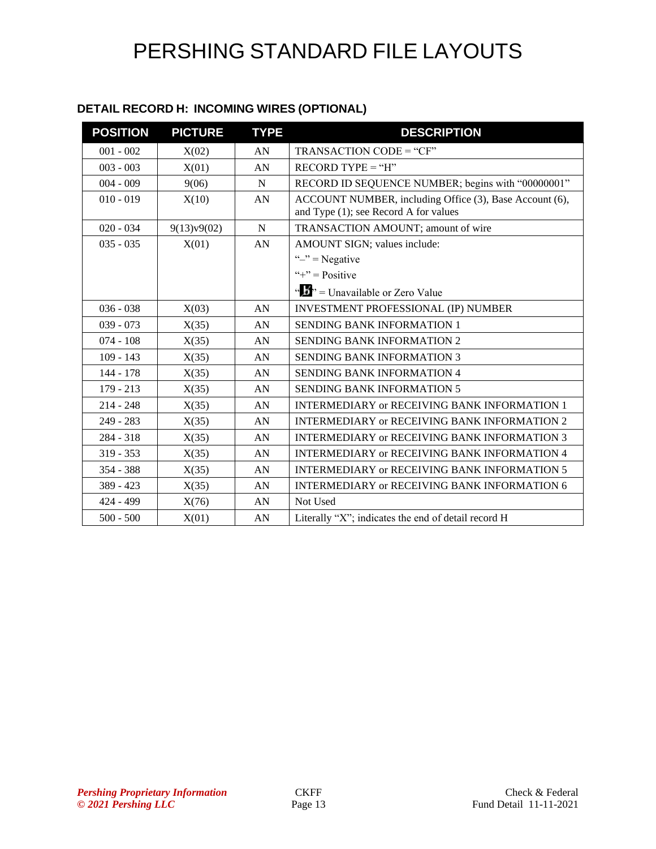| DETAIL RECORD H: INCOMING WIRES (OPTIONAL) |  |  |
|--------------------------------------------|--|--|
|--------------------------------------------|--|--|

| <b>POSITION</b> | <b>PICTURE</b> | <b>TYPE</b> | <b>DESCRIPTION</b>                                      |
|-----------------|----------------|-------------|---------------------------------------------------------|
| $001 - 002$     | X(02)          | AN          | TRANSACTION CODE = "CF"                                 |
| $003 - 003$     | X(01)          | AN          | $RECORD TYPE = "H"$                                     |
| $004 - 009$     | 9(06)          | $\mathbf N$ | RECORD ID SEQUENCE NUMBER; begins with "00000001"       |
| $010 - 019$     | X(10)          | AN          | ACCOUNT NUMBER, including Office (3), Base Account (6), |
|                 |                |             | and Type (1); see Record A for values                   |
| $020 - 034$     | 9(13)v9(02)    | N           | TRANSACTION AMOUNT; amount of wire                      |
| $035 - 035$     | X(01)          | AN          | AMOUNT SIGN; values include:                            |
|                 |                |             | " $-$ " = Negative                                      |
|                 |                |             | "+" = $Positive$                                        |
|                 |                |             | " $\cdots$ "" = Unavailable or Zero Value               |
| $036 - 038$     | X(03)          | AN          | <b>INVESTMENT PROFESSIONAL (IP) NUMBER</b>              |
| $039 - 073$     | X(35)          | AN          | <b>SENDING BANK INFORMATION 1</b>                       |
| $074 - 108$     | X(35)          | AN          | <b>SENDING BANK INFORMATION 2</b>                       |
| $109 - 143$     | X(35)          | AN          | <b>SENDING BANK INFORMATION 3</b>                       |
| 144 - 178       | X(35)          | AN          | <b>SENDING BANK INFORMATION 4</b>                       |
| $179 - 213$     | X(35)          | AN          | <b>SENDING BANK INFORMATION 5</b>                       |
| $214 - 248$     | X(35)          | AN          | <b>INTERMEDIARY or RECEIVING BANK INFORMATION 1</b>     |
| $249 - 283$     | X(35)          | AN          | INTERMEDIARY or RECEIVING BANK INFORMATION 2            |
| 284 - 318       | X(35)          | AN          | <b>INTERMEDIARY or RECEIVING BANK INFORMATION 3</b>     |
| $319 - 353$     | X(35)          | AN          | <b>INTERMEDIARY or RECEIVING BANK INFORMATION 4</b>     |
| $354 - 388$     | X(35)          | AN          | <b>INTERMEDIARY or RECEIVING BANK INFORMATION 5</b>     |
| $389 - 423$     | X(35)          | AN          | <b>INTERMEDIARY or RECEIVING BANK INFORMATION 6</b>     |
| 424 - 499       | X(76)          | AN          | Not Used                                                |
| $500 - 500$     | X(01)          | AN          | Literally "X"; indicates the end of detail record H     |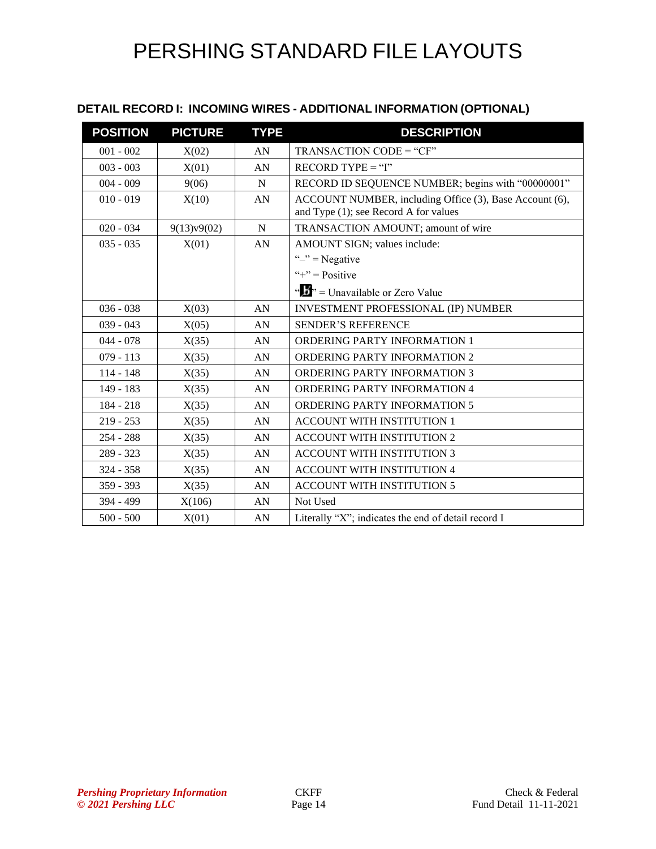### **DETAIL RECORD I: INCOMING WIRES - ADDITIONAL INFORMATION (OPTIONAL)**

| <b>POSITION</b> | <b>PICTURE</b> | <b>TYPE</b>      | <b>DESCRIPTION</b>                                                                               |
|-----------------|----------------|------------------|--------------------------------------------------------------------------------------------------|
| $001 - 002$     | X(02)          | AN               | TRANSACTION CODE = "CF"                                                                          |
| $003 - 003$     | X(01)          | AN               | $RECORD TYPE = "I"$                                                                              |
| $004 - 009$     | 9(06)          | $\mathbf N$      | RECORD ID SEQUENCE NUMBER; begins with "00000001"                                                |
| $010 - 019$     | X(10)          | AN               | ACCOUNT NUMBER, including Office (3), Base Account (6),<br>and Type (1); see Record A for values |
| $020 - 034$     | 9(13)v9(02)    | N                | TRANSACTION AMOUNT; amount of wire                                                               |
| $035 - 035$     | X(01)          | AN               | AMOUNT SIGN; values include:                                                                     |
|                 |                |                  | " $-$ " = Negative                                                                               |
|                 |                |                  | "+" = $Positive$                                                                                 |
|                 |                |                  | " $\cdots$ " = Unavailable or Zero Value                                                         |
| $036 - 038$     | X(03)          | AN               | <b>INVESTMENT PROFESSIONAL (IP) NUMBER</b>                                                       |
| $039 - 043$     | X(05)          | AN               | <b>SENDER'S REFERENCE</b>                                                                        |
| $044 - 078$     | X(35)          | AN               | <b>ORDERING PARTY INFORMATION 1</b>                                                              |
| $079 - 113$     | X(35)          | AN               | ORDERING PARTY INFORMATION 2                                                                     |
| $114 - 148$     | X(35)          | AN               | <b>ORDERING PARTY INFORMATION 3</b>                                                              |
| 149 - 183       | X(35)          | AN               | ORDERING PARTY INFORMATION 4                                                                     |
| $184 - 218$     | X(35)          | AN               | <b>ORDERING PARTY INFORMATION 5</b>                                                              |
| $219 - 253$     | X(35)          | ${\bf A}{\bf N}$ | <b>ACCOUNT WITH INSTITUTION 1</b>                                                                |
| $254 - 288$     | X(35)          | AN               | <b>ACCOUNT WITH INSTITUTION 2</b>                                                                |
| $289 - 323$     | X(35)          | AN               | <b>ACCOUNT WITH INSTITUTION 3</b>                                                                |
| $324 - 358$     | X(35)          | AN               | <b>ACCOUNT WITH INSTITUTION 4</b>                                                                |
| $359 - 393$     | X(35)          | AN               | ACCOUNT WITH INSTITUTION 5                                                                       |
| $394 - 499$     | X(106)         | AN               | Not Used                                                                                         |
| $500 - 500$     | X(01)          | AN               | Literally "X"; indicates the end of detail record I                                              |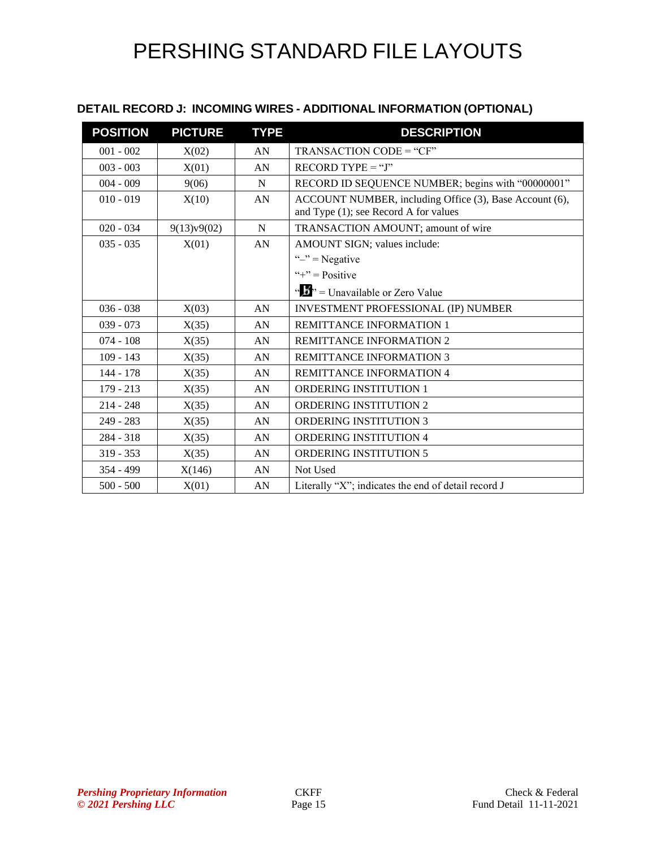### **DETAIL RECORD J: INCOMING WIRES - ADDITIONAL INFORMATION (OPTIONAL)**

| <b>POSITION</b> | <b>PICTURE</b> | <b>TYPE</b> | <b>DESCRIPTION</b>                                                                               |
|-----------------|----------------|-------------|--------------------------------------------------------------------------------------------------|
| $001 - 002$     | X(02)          | AN          | TRANSACTION CODE = "CF"                                                                          |
| $003 - 003$     | X(01)          | AN          | $RECORD$ TYPE = "J"                                                                              |
| $004 - 009$     | 9(06)          | N           | RECORD ID SEQUENCE NUMBER; begins with "00000001"                                                |
| $010 - 019$     | X(10)          | AN          | ACCOUNT NUMBER, including Office (3), Base Account (6),<br>and Type (1); see Record A for values |
| $020 - 034$     | 9(13)v9(02)    | $\mathbf N$ | TRANSACTION AMOUNT; amount of wire                                                               |
| $035 - 035$     | X(01)          | AN          | AMOUNT SIGN; values include:                                                                     |
|                 |                |             | " $-$ " = Negative                                                                               |
|                 |                |             | "+" = $Positive$                                                                                 |
|                 |                |             | " $\frac{1}{2}$ " = Unavailable or Zero Value                                                    |
| $036 - 038$     | X(03)          | AN          | INVESTMENT PROFESSIONAL (IP) NUMBER                                                              |
| $039 - 073$     | X(35)          | AN          | <b>REMITTANCE INFORMATION 1</b>                                                                  |
| $074 - 108$     | X(35)          | AN          | <b>REMITTANCE INFORMATION 2</b>                                                                  |
| $109 - 143$     | X(35)          | AN          | <b>REMITTANCE INFORMATION 3</b>                                                                  |
| $144 - 178$     | X(35)          | AN          | REMITTANCE INFORMATION 4                                                                         |
| $179 - 213$     | X(35)          | AN          | <b>ORDERING INSTITUTION 1</b>                                                                    |
| $214 - 248$     | X(35)          | AN          | <b>ORDERING INSTITUTION 2</b>                                                                    |
| $249 - 283$     | X(35)          | AN          | <b>ORDERING INSTITUTION 3</b>                                                                    |
| $284 - 318$     | X(35)          | AN          | <b>ORDERING INSTITUTION 4</b>                                                                    |
| $319 - 353$     | X(35)          | AN          | <b>ORDERING INSTITUTION 5</b>                                                                    |
| $354 - 499$     | X(146)         | AN          | Not Used                                                                                         |
| $500 - 500$     | X(01)          | AN          | Literally "X"; indicates the end of detail record J                                              |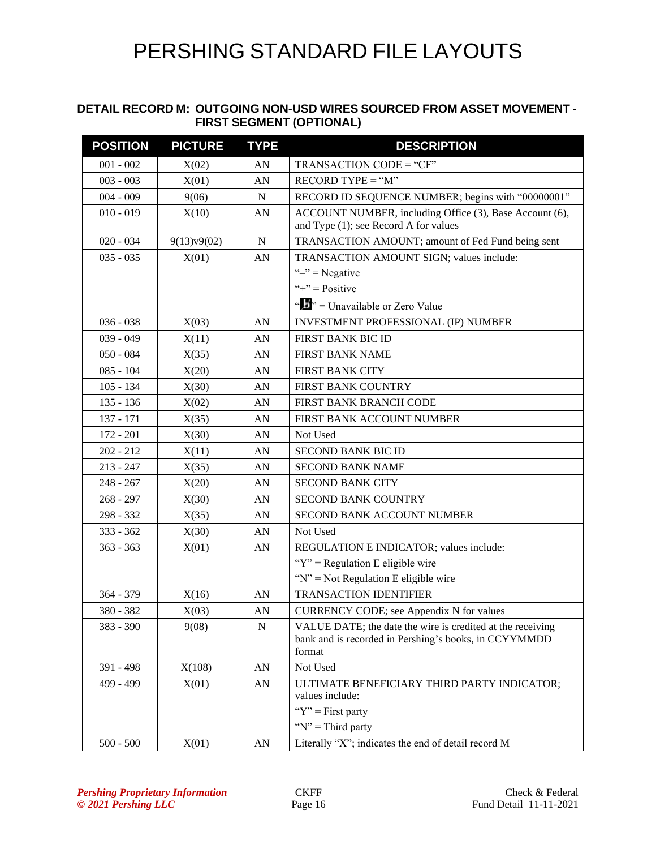#### **DETAIL RECORD M: OUTGOING NON-USD WIRES SOURCED FROM ASSET MOVEMENT - FIRST SEGMENT (OPTIONAL)**

| <b>POSITION</b> | <b>PICTURE</b> | <b>TYPE</b>      | <b>DESCRIPTION</b>                                                                                                            |
|-----------------|----------------|------------------|-------------------------------------------------------------------------------------------------------------------------------|
| $001 - 002$     | X(02)          | AN               | TRANSACTION CODE = "CF"                                                                                                       |
| $003 - 003$     | X(01)          | AN               | $RECORD TYPE = "M"$                                                                                                           |
| $004 - 009$     | 9(06)          | ${\bf N}$        | RECORD ID SEQUENCE NUMBER; begins with "00000001"                                                                             |
| $010 - 019$     | X(10)          | AN               | ACCOUNT NUMBER, including Office (3), Base Account (6),<br>and Type (1); see Record A for values                              |
| $020 - 034$     | 9(13)v9(02)    | ${\bf N}$        | TRANSACTION AMOUNT; amount of Fed Fund being sent                                                                             |
| $035 - 035$     | X(01)          | AN               | TRANSACTION AMOUNT SIGN; values include:                                                                                      |
|                 |                |                  | " $-$ " = Negative                                                                                                            |
|                 |                |                  | "+" = $Positive$                                                                                                              |
|                 |                |                  | " $\frac{1}{2}$ " = Unavailable or Zero Value                                                                                 |
| $036 - 038$     | X(03)          | AN               | INVESTMENT PROFESSIONAL (IP) NUMBER                                                                                           |
| $039 - 049$     | X(11)          | AN               | FIRST BANK BIC ID                                                                                                             |
| $050 - 084$     | X(35)          | AN               | FIRST BANK NAME                                                                                                               |
| $085 - 104$     | X(20)          | AN               | <b>FIRST BANK CITY</b>                                                                                                        |
| $105 - 134$     | X(30)          | AN               | FIRST BANK COUNTRY                                                                                                            |
| $135 - 136$     | X(02)          | AN               | FIRST BANK BRANCH CODE                                                                                                        |
| 137 - 171       | X(35)          | AN               | FIRST BANK ACCOUNT NUMBER                                                                                                     |
| $172 - 201$     | X(30)          | AN               | Not Used                                                                                                                      |
| $202 - 212$     | X(11)          | AN               | <b>SECOND BANK BIC ID</b>                                                                                                     |
| $213 - 247$     | X(35)          | AN               | <b>SECOND BANK NAME</b>                                                                                                       |
| $248 - 267$     | X(20)          | AN               | <b>SECOND BANK CITY</b>                                                                                                       |
| $268 - 297$     | X(30)          | AN               | SECOND BANK COUNTRY                                                                                                           |
| 298 - 332       | X(35)          | AN               | SECOND BANK ACCOUNT NUMBER                                                                                                    |
| $333 - 362$     | X(30)          | AN               | Not Used                                                                                                                      |
| $363 - 363$     | X(01)          | AN               | REGULATION E INDICATOR; values include:                                                                                       |
|                 |                |                  | " $Y$ " = Regulation E eligible wire                                                                                          |
|                 |                |                  | " $N$ " = Not Regulation E eligible wire                                                                                      |
| $364 - 379$     | X(16)          | AN               | <b>TRANSACTION IDENTIFIER</b>                                                                                                 |
| 380 - 382       | X(03)          | AN               | CURRENCY CODE; see Appendix N for values                                                                                      |
| 383 - 390       | 9(08)          | ${\bf N}$        | VALUE DATE; the date the wire is credited at the receiving<br>bank and is recorded in Pershing's books, in CCYYMMDD<br>format |
| 391 - 498       | X(108)         | AN               | Not Used                                                                                                                      |
| 499 - 499       | X(01)          | AN               | ULTIMATE BENEFICIARY THIRD PARTY INDICATOR;<br>values include:                                                                |
|                 |                |                  | " $Y$ " = First party"                                                                                                        |
|                 |                |                  | " $N$ " = Third party"                                                                                                        |
| $500 - 500$     | X(01)          | ${\bf A}{\bf N}$ | Literally "X"; indicates the end of detail record M                                                                           |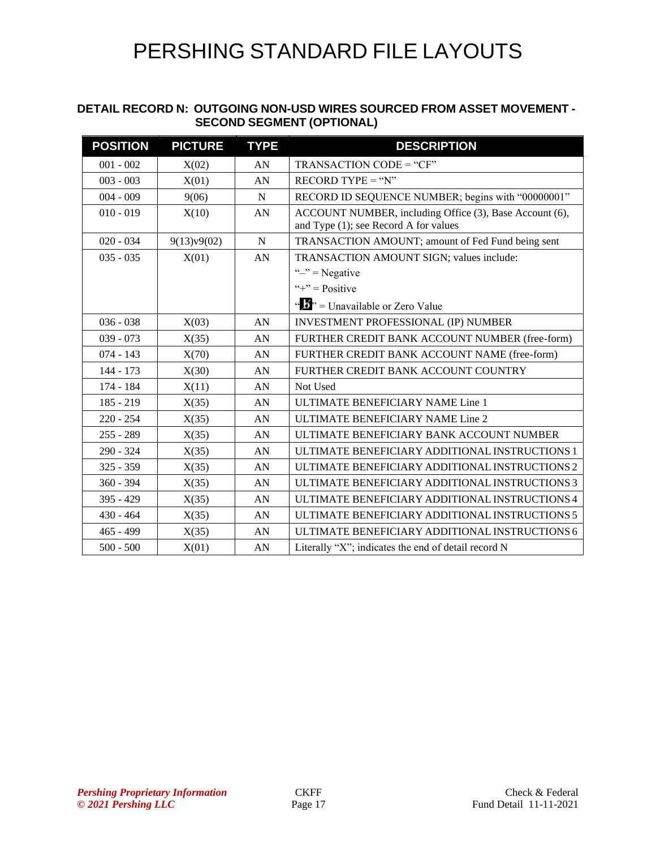#### **DETAIL RECORD N: OUTGOING NON-USD WIRES SOURCED FROM ASSET MOVEMENT - SECOND SEGMENT (OPTIONAL)**

| <b>POSITION</b> | <b>PICTURE</b> | <b>TYPE</b> | <b>DESCRIPTION</b>                                                                               |
|-----------------|----------------|-------------|--------------------------------------------------------------------------------------------------|
| $001 - 002$     | X(02)          | AN          | TRANSACTION CODE = "CF"                                                                          |
| $003 - 003$     | X(01)          | AN          | $RECORD TYPE = "N"$                                                                              |
| $004 - 009$     | 9(06)          | $\mathbf N$ | RECORD ID SEQUENCE NUMBER; begins with "00000001"                                                |
| $010 - 019$     | X(10)          | AN          | ACCOUNT NUMBER, including Office (3), Base Account (6),<br>and Type (1); see Record A for values |
| $020 - 034$     | 9(13)v9(02)    | N           | TRANSACTION AMOUNT; amount of Fed Fund being sent                                                |
| $035 - 035$     | X(01)          | AN          | TRANSACTION AMOUNT SIGN; values include:                                                         |
|                 |                |             | " $-$ " = Negative                                                                               |
|                 |                |             | "+" = $Positive$                                                                                 |
|                 |                |             | " $\frac{1}{2}$ " = Unavailable or Zero Value                                                    |
| $036 - 038$     | X(03)          | AN          | <b>INVESTMENT PROFESSIONAL (IP) NUMBER</b>                                                       |
| $039 - 073$     | X(35)          | AN          | FURTHER CREDIT BANK ACCOUNT NUMBER (free-form)                                                   |
| $074 - 143$     | X(70)          | AN          | FURTHER CREDIT BANK ACCOUNT NAME (free-form)                                                     |
| 144 - 173       | X(30)          | AN          | FURTHER CREDIT BANK ACCOUNT COUNTRY                                                              |
| 174 - 184       | X(11)          | AN          | Not Used                                                                                         |
| $185 - 219$     | X(35)          | AN          | ULTIMATE BENEFICIARY NAME Line 1                                                                 |
| $220 - 254$     | X(35)          | AN          | ULTIMATE BENEFICIARY NAME Line 2                                                                 |
| $255 - 289$     | X(35)          | AN          | ULTIMATE BENEFICIARY BANK ACCOUNT NUMBER                                                         |
| $290 - 324$     | X(35)          | AN          | ULTIMATE BENEFICIARY ADDITIONAL INSTRUCTIONS 1                                                   |
| $325 - 359$     | X(35)          | AN          | ULTIMATE BENEFICIARY ADDITIONAL INSTRUCTIONS 2                                                   |
| $360 - 394$     | X(35)          | AN          | ULTIMATE BENEFICIARY ADDITIONAL INSTRUCTIONS 3                                                   |
| $395 - 429$     | X(35)          | AN          | ULTIMATE BENEFICIARY ADDITIONAL INSTRUCTIONS 4                                                   |
| $430 - 464$     | X(35)          | AN          | ULTIMATE BENEFICIARY ADDITIONAL INSTRUCTIONS 5                                                   |
| $465 - 499$     | X(35)          | AN          | ULTIMATE BENEFICIARY ADDITIONAL INSTRUCTIONS 6                                                   |
| $500 - 500$     | X(01)          | AN          | Literally "X"; indicates the end of detail record N                                              |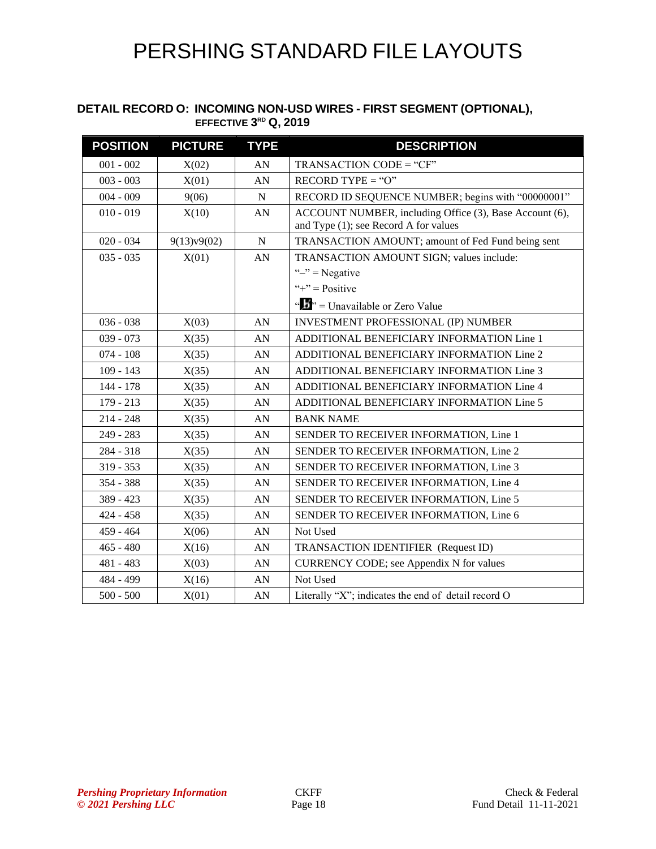#### **DETAIL RECORD O: INCOMING NON-USD WIRES - FIRST SEGMENT (OPTIONAL), EFFECTIVE 3 RD Q, 2019**

| <b>POSITION</b> | <b>PICTURE</b> | <b>TYPE</b>      | <b>DESCRIPTION</b>                                                                               |
|-----------------|----------------|------------------|--------------------------------------------------------------------------------------------------|
| $001 - 002$     | X(02)          | AN               | TRANSACTION CODE = "CF"                                                                          |
| $003 - 003$     | X(01)          | AN               | $RECORD$ TYPE = "O"                                                                              |
| $004 - 009$     | 9(06)          | ${\bf N}$        | RECORD ID SEQUENCE NUMBER; begins with "00000001"                                                |
| $010 - 019$     | X(10)          | AN               | ACCOUNT NUMBER, including Office (3), Base Account (6),<br>and Type (1); see Record A for values |
| $020 - 034$     | 9(13)v9(02)    | $\mathbf N$      | TRANSACTION AMOUNT; amount of Fed Fund being sent                                                |
| $035 - 035$     | X(01)          | AN               | TRANSACTION AMOUNT SIGN; values include:                                                         |
|                 |                |                  | " $-$ " = Negative                                                                               |
|                 |                |                  | "+" = $Positive$                                                                                 |
|                 |                |                  | "" = Unavailable or Zero Value                                                                   |
| $036 - 038$     | X(03)          | AN               | INVESTMENT PROFESSIONAL (IP) NUMBER                                                              |
| $039 - 073$     | X(35)          | AN               | ADDITIONAL BENEFICIARY INFORMATION Line 1                                                        |
| $074 - 108$     | X(35)          | AN               | ADDITIONAL BENEFICIARY INFORMATION Line 2                                                        |
| $109 - 143$     | X(35)          | AN               | ADDITIONAL BENEFICIARY INFORMATION Line 3                                                        |
| 144 - 178       | X(35)          | AN               | ADDITIONAL BENEFICIARY INFORMATION Line 4                                                        |
| $179 - 213$     | X(35)          | AN               | ADDITIONAL BENEFICIARY INFORMATION Line 5                                                        |
| $214 - 248$     | X(35)          | AN               | <b>BANK NAME</b>                                                                                 |
| 249 - 283       | X(35)          | AN               | SENDER TO RECEIVER INFORMATION, Line 1                                                           |
| 284 - 318       | X(35)          | AN               | SENDER TO RECEIVER INFORMATION, Line 2                                                           |
| $319 - 353$     | X(35)          | AN               | SENDER TO RECEIVER INFORMATION, Line 3                                                           |
| 354 - 388       | X(35)          | AN               | SENDER TO RECEIVER INFORMATION, Line 4                                                           |
| $389 - 423$     | X(35)          | AN               | SENDER TO RECEIVER INFORMATION, Line 5                                                           |
| $424 - 458$     | X(35)          | AN               | SENDER TO RECEIVER INFORMATION, Line 6                                                           |
| $459 - 464$     | X(06)          | AN               | Not Used                                                                                         |
| $465 - 480$     | X(16)          | AN               | TRANSACTION IDENTIFIER (Request ID)                                                              |
| 481 - 483       | X(03)          | AN               | CURRENCY CODE; see Appendix N for values                                                         |
| 484 - 499       | X(16)          | AN               | Not Used                                                                                         |
| $500 - 500$     | X(01)          | ${\bf A}{\bf N}$ | Literally "X"; indicates the end of detail record O                                              |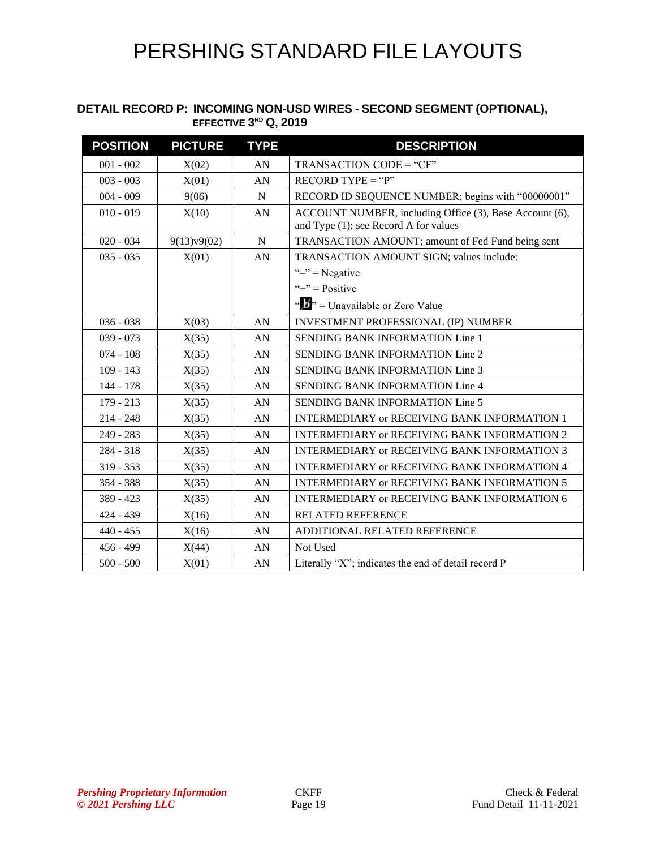#### **DETAIL RECORD P: INCOMING NON-USD WIRES - SECOND SEGMENT (OPTIONAL), EFFECTIVE 3 RD Q, 2019**

| <b>POSITION</b> | <b>PICTURE</b> | <b>TYPE</b> | <b>DESCRIPTION</b>                                                                               |
|-----------------|----------------|-------------|--------------------------------------------------------------------------------------------------|
| $001 - 002$     | X(02)          | AN          | TRANSACTION CODE = "CF"                                                                          |
| $003 - 003$     | X(01)          | AN          | $RECORD TYPE = "P"$                                                                              |
| $004 - 009$     | 9(06)          | ${\bf N}$   | RECORD ID SEQUENCE NUMBER; begins with "00000001"                                                |
| $010 - 019$     | X(10)          | AN          | ACCOUNT NUMBER, including Office (3), Base Account (6),<br>and Type (1); see Record A for values |
| $020 - 034$     | 9(13)v9(02)    | N           | TRANSACTION AMOUNT; amount of Fed Fund being sent                                                |
| $035 - 035$     | X(01)          | AN          | TRANSACTION AMOUNT SIGN; values include:                                                         |
|                 |                |             | " $-$ " = Negative                                                                               |
|                 |                |             | "+" = $Positive$                                                                                 |
|                 |                |             | " $\frac{1}{2}$ " = Unavailable or Zero Value                                                    |
| $036 - 038$     | X(03)          | AN          | <b>INVESTMENT PROFESSIONAL (IP) NUMBER</b>                                                       |
| $039 - 073$     | X(35)          | AN          | <b>SENDING BANK INFORMATION Line 1</b>                                                           |
| $074 - 108$     | X(35)          | AN          | <b>SENDING BANK INFORMATION Line 2</b>                                                           |
| $109 - 143$     | X(35)          | AN          | <b>SENDING BANK INFORMATION Line 3</b>                                                           |
| 144 - 178       | X(35)          | AN          | <b>SENDING BANK INFORMATION Line 4</b>                                                           |
| $179 - 213$     | X(35)          | AN          | <b>SENDING BANK INFORMATION Line 5</b>                                                           |
| $214 - 248$     | X(35)          | AN          | <b>INTERMEDIARY or RECEIVING BANK INFORMATION 1</b>                                              |
| $249 - 283$     | X(35)          | AN          | <b>INTERMEDIARY or RECEIVING BANK INFORMATION 2</b>                                              |
| $284 - 318$     | X(35)          | AN          | <b>INTERMEDIARY or RECEIVING BANK INFORMATION 3</b>                                              |
| $319 - 353$     | X(35)          | AN          | INTERMEDIARY or RECEIVING BANK INFORMATION 4                                                     |
| 354 - 388       | X(35)          | AN          | <b>INTERMEDIARY or RECEIVING BANK INFORMATION 5</b>                                              |
| $389 - 423$     | X(35)          | AN          | <b>INTERMEDIARY or RECEIVING BANK INFORMATION 6</b>                                              |
| 424 - 439       | X(16)          | AN          | <b>RELATED REFERENCE</b>                                                                         |
| $440 - 455$     | X(16)          | AN          | ADDITIONAL RELATED REFERENCE                                                                     |
| 456 - 499       | X(44)          | AN          | Not Used                                                                                         |
| $500 - 500$     | X(01)          | AN          | Literally "X"; indicates the end of detail record P                                              |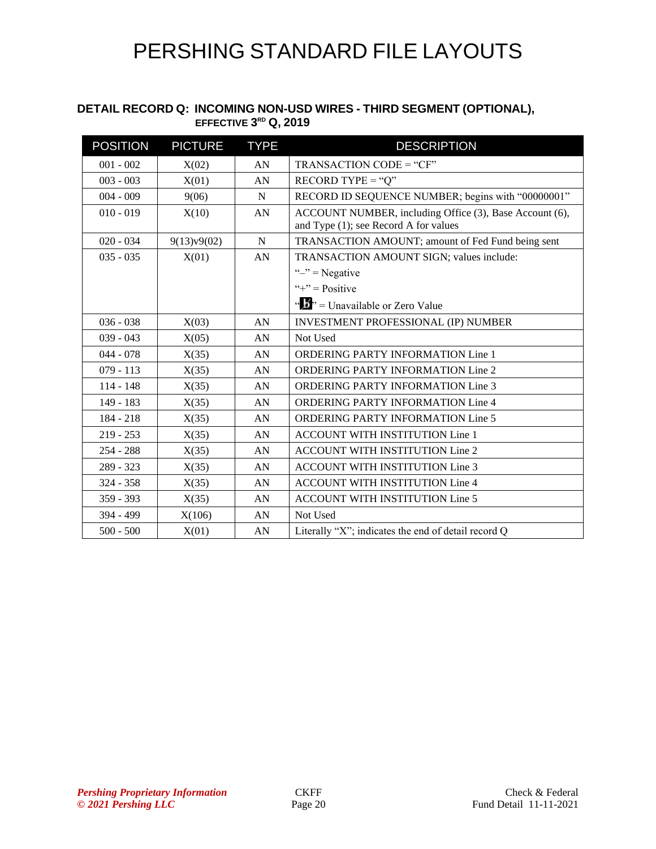#### **DETAIL RECORD Q: INCOMING NON-USD WIRES - THIRD SEGMENT (OPTIONAL), EFFECTIVE 3 RD Q, 2019**

| <b>POSITION</b> | <b>PICTURE</b> | <b>TYPE</b> | <b>DESCRIPTION</b>                                                                               |
|-----------------|----------------|-------------|--------------------------------------------------------------------------------------------------|
| $001 - 002$     | X(02)          | AN          | TRANSACTION CODE = "CF"                                                                          |
| $003 - 003$     | X(01)          | AN          | $RECORD$ TYPE = "Q"                                                                              |
| $004 - 009$     | 9(06)          | N           | RECORD ID SEQUENCE NUMBER; begins with "00000001"                                                |
| $010 - 019$     | X(10)          | AN          | ACCOUNT NUMBER, including Office (3), Base Account (6),<br>and Type (1); see Record A for values |
| $020 - 034$     | 9(13)v9(02)    | N           | TRANSACTION AMOUNT; amount of Fed Fund being sent                                                |
| $035 - 035$     | X(01)          | AN          | TRANSACTION AMOUNT SIGN; values include:                                                         |
|                 |                |             | " $-$ " = Negative                                                                               |
|                 |                |             | "+" = $Positive$                                                                                 |
|                 |                |             | " $\frac{1}{2}$ " = Unavailable or Zero Value                                                    |
| $036 - 038$     | X(03)          | AN          | INVESTMENT PROFESSIONAL (IP) NUMBER                                                              |
| $039 - 043$     | X(05)          | AN          | Not Used                                                                                         |
| $044 - 078$     | X(35)          | AN          | <b>ORDERING PARTY INFORMATION Line 1</b>                                                         |
| $079 - 113$     | X(35)          | AN          | <b>ORDERING PARTY INFORMATION Line 2</b>                                                         |
| $114 - 148$     | X(35)          | AN          | <b>ORDERING PARTY INFORMATION Line 3</b>                                                         |
| 149 - 183       | X(35)          | AN          | <b>ORDERING PARTY INFORMATION Line 4</b>                                                         |
| $184 - 218$     | X(35)          | AN          | <b>ORDERING PARTY INFORMATION Line 5</b>                                                         |
| $219 - 253$     | X(35)          | AN          | ACCOUNT WITH INSTITUTION Line 1                                                                  |
| $254 - 288$     | X(35)          | AN          | ACCOUNT WITH INSTITUTION Line 2                                                                  |
| 289 - 323       | X(35)          | AN          | <b>ACCOUNT WITH INSTITUTION Line 3</b>                                                           |
| 324 - 358       | X(35)          | AN          | ACCOUNT WITH INSTITUTION Line 4                                                                  |
| $359 - 393$     | X(35)          | AN          | ACCOUNT WITH INSTITUTION Line 5                                                                  |
| 394 - 499       | X(106)         | AN          | Not Used                                                                                         |
| $500 - 500$     | X(01)          | AN          | Literally "X"; indicates the end of detail record Q                                              |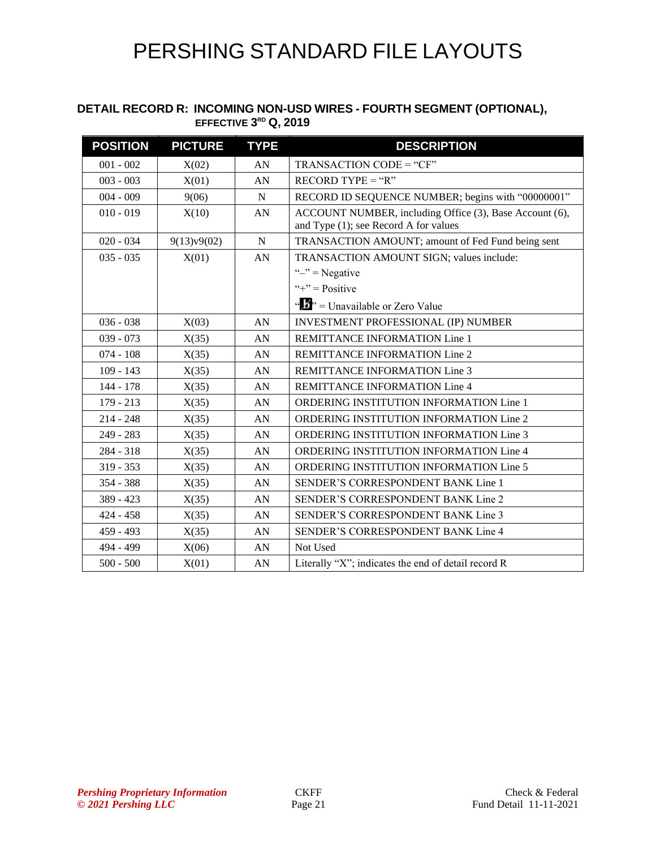#### **DETAIL RECORD R: INCOMING NON-USD WIRES - FOURTH SEGMENT (OPTIONAL), EFFECTIVE 3 RD Q, 2019**

| <b>POSITION</b> | <b>PICTURE</b> | <b>TYPE</b> | <b>DESCRIPTION</b>                                                                               |
|-----------------|----------------|-------------|--------------------------------------------------------------------------------------------------|
| $001 - 002$     | X(02)          | AN          | TRANSACTION CODE = "CF"                                                                          |
| $003 - 003$     | X(01)          | AN          | $RECORD TYPE = "R"$                                                                              |
| $004 - 009$     | 9(06)          | $\mathbf N$ | RECORD ID SEQUENCE NUMBER; begins with "00000001"                                                |
| $010 - 019$     | X(10)          | AN          | ACCOUNT NUMBER, including Office (3), Base Account (6),<br>and Type (1); see Record A for values |
| $020 - 034$     | 9(13)v9(02)    | $\mathbf N$ | TRANSACTION AMOUNT; amount of Fed Fund being sent                                                |
| $035 - 035$     | X(01)          | AN          | TRANSACTION AMOUNT SIGN; values include:                                                         |
|                 |                |             | " $-$ " = Negative                                                                               |
|                 |                |             | "+" = $Positive$                                                                                 |
|                 |                |             | " $\mathbf{F}$ " = Unavailable or Zero Value                                                     |
| $036 - 038$     | X(03)          | AN          | <b>INVESTMENT PROFESSIONAL (IP) NUMBER</b>                                                       |
| $039 - 073$     | X(35)          | AN          | REMITTANCE INFORMATION Line 1                                                                    |
| $074 - 108$     | X(35)          | AN          | REMITTANCE INFORMATION Line 2                                                                    |
| $109 - 143$     | X(35)          | AN          | REMITTANCE INFORMATION Line 3                                                                    |
| 144 - 178       | X(35)          | AN          | REMITTANCE INFORMATION Line 4                                                                    |
| $179 - 213$     | X(35)          | AN          | ORDERING INSTITUTION INFORMATION Line 1                                                          |
| $214 - 248$     | X(35)          | AN          | ORDERING INSTITUTION INFORMATION Line 2                                                          |
| 249 - 283       | X(35)          | AN          | ORDERING INSTITUTION INFORMATION Line 3                                                          |
| 284 - 318       | X(35)          | AN          | ORDERING INSTITUTION INFORMATION Line 4                                                          |
| $319 - 353$     | X(35)          | AN          | ORDERING INSTITUTION INFORMATION Line 5                                                          |
| 354 - 388       | X(35)          | AN          | SENDER'S CORRESPONDENT BANK Line 1                                                               |
| 389 - 423       | X(35)          | AN          | SENDER'S CORRESPONDENT BANK Line 2                                                               |
| $424 - 458$     | X(35)          | AN          | SENDER'S CORRESPONDENT BANK Line 3                                                               |
| $459 - 493$     | X(35)          | AN          | SENDER'S CORRESPONDENT BANK Line 4                                                               |
| 494 - 499       | X(06)          | AN          | Not Used                                                                                         |
| $500 - 500$     | X(01)          | AN          | Literally "X"; indicates the end of detail record R                                              |